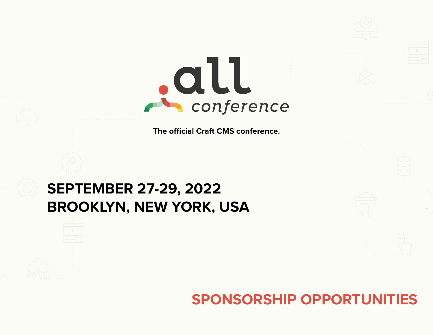

**The official Craft CMS conference.**

# **SEPTEMBER 27-29, 2022 BROOKLYN, NEW YORK, USA**

## **SPONSORSHIP OPPORTUNITIES**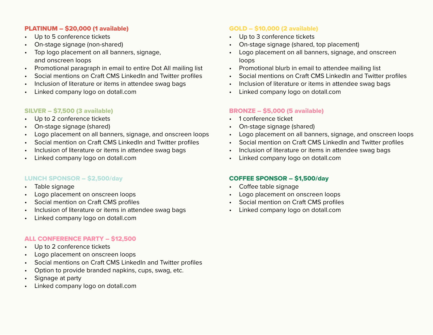### PLATINUM – \$20,000 (1 available)

- Up to 5 conference tickets
- On-stage signage (non-shared)
- Top logo placement on all banners, signage, and onscreen loops
- Promotional paragraph in email to entire Dot All mailing list
- Social mentions on Craft CMS LinkedIn and Twitter profiles
- Inclusion of literature or items in attendee swag bags
- Linked company logo on dotall.com

#### SILVER – \$7,500 (3 available)

- Up to 2 conference tickets
- On-stage signage (shared)
- Logo placement on all banners, signage, and onscreen loops
- Social mention on Craft CMS LinkedIn and Twitter profiles
- Inclusion of literature or items in attendee swag bags
- Linked company logo on dotall.com

#### LUNCH SPONSOR – \$2,500/day

- Table signage
- Logo placement on onscreen loops
- Social mention on Craft CMS profiles
- Inclusion of literature or items in attendee swag bags
- Linked company logo on dotall.com

#### ALL CONFERENCE PARTY – \$12,500

- Up to 2 conference tickets
- Logo placement on onscreen loops
- Social mentions on Craft CMS LinkedIn and Twitter profiles
- Option to provide branded napkins, cups, swag, etc.
- Signage at party
- Linked company logo on dotall.com

#### GOLD – \$10,000 (2 available)

- Up to 3 conference tickets
- On-stage signage (shared, top placement)
- Logo placement on all banners, signage, and onscreen loops
- Promotional blurb in email to attendee mailing list
- Social mentions on Craft CMS LinkedIn and Twitter profiles
- Inclusion of literature or items in attendee swag bags
- Linked company logo on dotall.com

#### BRONZE – \$5,000 (5 available)

- 1 conference ticket
- On-stage signage (shared)
- Logo placement on all banners, signage, and onscreen loops
- Social mention on Craft CMS LinkedIn and Twitter profiles
- Inclusion of literature or items in attendee swag bags
- Linked company logo on dotall.com

#### COFFEE SPONSOR – \$1,500/day

- Coffee table signage
- Logo placement on onscreen loops
- Social mention on Craft CMS profiles
- Linked company logo on dotall.com